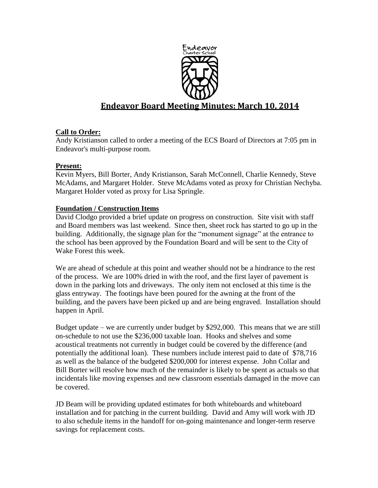

# **Endeavor Board Meeting Minutes: March 10, 2014**

# **Call to Order:**

Andy Kristianson called to order a meeting of the ECS Board of Directors at 7:05 pm in Endeavor's multi-purpose room.

# **Present:**

Kevin Myers, Bill Borter, Andy Kristianson, Sarah McConnell, Charlie Kennedy, Steve McAdams, and Margaret Holder. Steve McAdams voted as proxy for Christian Nechyba. Margaret Holder voted as proxy for Lisa Springle.

# **Foundation / Construction Items**

David Clodgo provided a brief update on progress on construction. Site visit with staff and Board members was last weekend. Since then, sheet rock has started to go up in the building. Additionally, the signage plan for the "monument signage" at the entrance to the school has been approved by the Foundation Board and will be sent to the City of Wake Forest this week.

We are ahead of schedule at this point and weather should not be a hindrance to the rest of the process. We are 100% dried in with the roof, and the first layer of pavement is down in the parking lots and driveways. The only item not enclosed at this time is the glass entryway. The footings have been poured for the awning at the front of the building, and the pavers have been picked up and are being engraved. Installation should happen in April.

Budget update – we are currently under budget by \$292,000. This means that we are still on-schedule to not use the \$236,000 taxable loan. Hooks and shelves and some acoustical treatments not currently in budget could be covered by the difference (and potentially the additional loan). These numbers include interest paid to date of \$78,716 as well as the balance of the budgeted \$200,000 for interest expense. John Collar and Bill Borter will resolve how much of the remainder is likely to be spent as actuals so that incidentals like moving expenses and new classroom essentials damaged in the move can be covered.

JD Beam will be providing updated estimates for both whiteboards and whiteboard installation and for patching in the current building. David and Amy will work with JD to also schedule items in the handoff for on-going maintenance and longer-term reserve savings for replacement costs.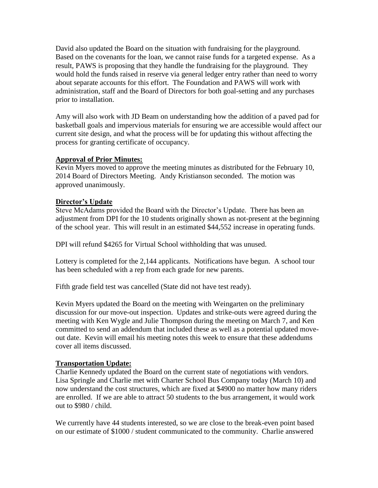David also updated the Board on the situation with fundraising for the playground. Based on the covenants for the loan, we cannot raise funds for a targeted expense. As a result, PAWS is proposing that they handle the fundraising for the playground. They would hold the funds raised in reserve via general ledger entry rather than need to worry about separate accounts for this effort. The Foundation and PAWS will work with administration, staff and the Board of Directors for both goal-setting and any purchases prior to installation.

Amy will also work with JD Beam on understanding how the addition of a paved pad for basketball goals and impervious materials for ensuring we are accessible would affect our current site design, and what the process will be for updating this without affecting the process for granting certificate of occupancy.

# **Approval of Prior Minutes:**

Kevin Myers moved to approve the meeting minutes as distributed for the February 10, 2014 Board of Directors Meeting. Andy Kristianson seconded. The motion was approved unanimously.

# **Director's Update**

Steve McAdams provided the Board with the Director's Update. There has been an adjustment from DPI for the 10 students originally shown as not-present at the beginning of the school year. This will result in an estimated \$44,552 increase in operating funds.

DPI will refund \$4265 for Virtual School withholding that was unused.

Lottery is completed for the 2,144 applicants. Notifications have begun. A school tour has been scheduled with a rep from each grade for new parents.

Fifth grade field test was cancelled (State did not have test ready).

Kevin Myers updated the Board on the meeting with Weingarten on the preliminary discussion for our move-out inspection. Updates and strike-outs were agreed during the meeting with Ken Wygle and Julie Thompson during the meeting on March 7, and Ken committed to send an addendum that included these as well as a potential updated moveout date. Kevin will email his meeting notes this week to ensure that these addendums cover all items discussed.

### **Transportation Update:**

Charlie Kennedy updated the Board on the current state of negotiations with vendors. Lisa Springle and Charlie met with Charter School Bus Company today (March 10) and now understand the cost structures, which are fixed at \$4900 no matter how many riders are enrolled. If we are able to attract 50 students to the bus arrangement, it would work out to \$980 / child.

We currently have 44 students interested, so we are close to the break-even point based on our estimate of \$1000 / student communicated to the community. Charlie answered